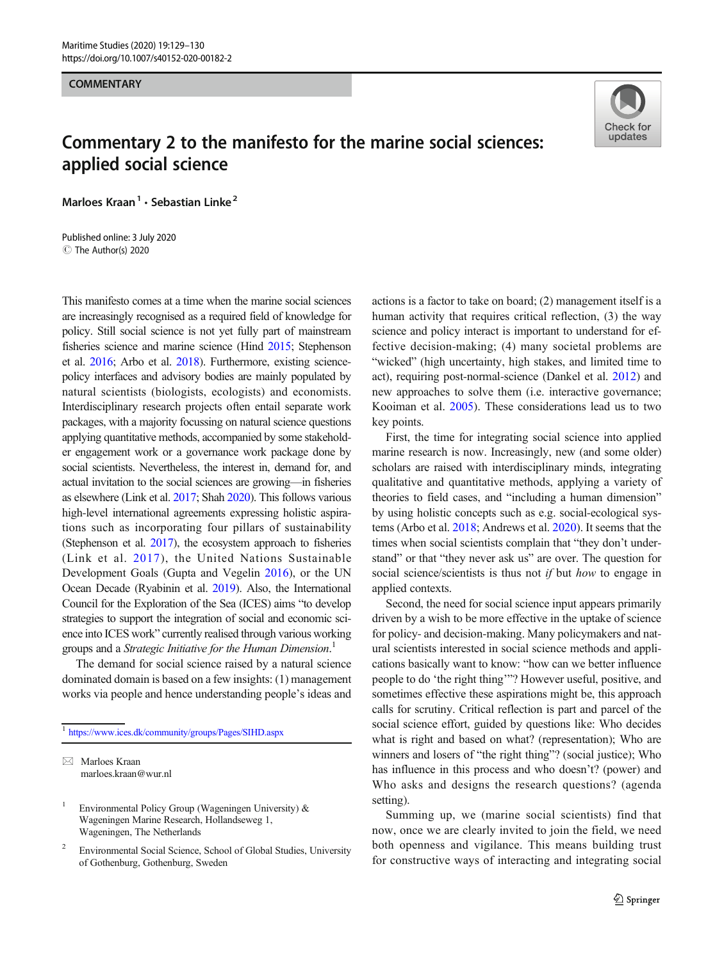**COMMENTARY** 

## Check for undates

## Commentary 2 to the manifesto for the marine social sciences: applied social science

Marloes Kraan<sup>1</sup>  $\cdot$  Sebastian Linke<sup>2</sup>

C The Author(s) 2020 Published online: 3 July 2020

This manifesto comes at a time when the marine social sciences are increasingly recognised as a required field of knowledge for policy. Still social science is not yet fully part of mainstream fisheries science and marine science (Hind [2015](#page-1-0); Stephenson et al. [2016;](#page-1-0) Arbo et al. [2018](#page-1-0)). Furthermore, existing sciencepolicy interfaces and advisory bodies are mainly populated by natural scientists (biologists, ecologists) and economists. Interdisciplinary research projects often entail separate work packages, with a majority focussing on natural science questions applying quantitative methods, accompanied by some stakeholder engagement work or a governance work package done by social scientists. Nevertheless, the interest in, demand for, and actual invitation to the social sciences are growing—in fisheries as elsewhere (Link et al. [2017](#page-1-0); Shah [2020\)](#page-1-0). This follows various high-level international agreements expressing holistic aspirations such as incorporating four pillars of sustainability (Stephenson et al. [2017\)](#page-1-0), the ecosystem approach to fisheries (Link et al. [2017](#page-1-0)), the United Nations Sustainable Development Goals (Gupta and Vegelin [2016\)](#page-1-0), or the UN Ocean Decade (Ryabinin et al. [2019\)](#page-1-0). Also, the International Council for the Exploration of the Sea (ICES) aims "to develop strategies to support the integration of social and economic science into ICES work" currently realised through various working groups and a Strategic Initiative for the Human Dimension.<sup>1</sup>

The demand for social science raised by a natural science dominated domain is based on a few insights: (1) management works via people and hence understanding people's ideas and

<sup>1</sup> [https://www.ices.dk/community/groups/Pages/SIHD.aspx](http://creativecommons.org/licenses/by/4.0/)

 $\boxtimes$  Marloes Kraan [marloes.kraan@wur.nl](mailto:marloes.kraan@wur.nl)

<sup>1</sup> Environmental Policy Group (Wageningen University)  $\&$ Wageningen Marine Research, Hollandseweg 1, Wageningen, The Netherlands

<sup>2</sup> Environmental Social Science, School of Global Studies, University of Gothenburg, Gothenburg, Sweden

actions is a factor to take on board; (2) management itself is a human activity that requires critical reflection, (3) the way science and policy interact is important to understand for effective decision-making; (4) many societal problems are "wicked" (high uncertainty, high stakes, and limited time to act), requiring post-normal-science (Dankel et al. [2012\)](#page-1-0) and new approaches to solve them (i.e. interactive governance; Kooiman et al. [2005\)](#page-1-0). These considerations lead us to two key points.

First, the time for integrating social science into applied marine research is now. Increasingly, new (and some older) scholars are raised with interdisciplinary minds, integrating qualitative and quantitative methods, applying a variety of theories to field cases, and "including a human dimension" by using holistic concepts such as e.g. social-ecological systems (Arbo et al. [2018](#page-1-0); Andrews et al. [2020](#page-1-0)). It seems that the times when social scientists complain that "they don't understand" or that "they never ask us" are over. The question for social science/scientists is thus not *if* but how to engage in applied contexts.

Second, the need for social science input appears primarily driven by a wish to be more effective in the uptake of science for policy- and decision-making. Many policymakers and natural scientists interested in social science methods and applications basically want to know: "how can we better influence people to do 'the right thing'"? However useful, positive, and sometimes effective these aspirations might be, this approach calls for scrutiny. Critical reflection is part and parcel of the social science effort, guided by questions like: Who decides what is right and based on what? (representation); Who are winners and losers of "the right thing"? (social justice); Who has influence in this process and who doesn't? (power) and Who asks and designs the research questions? (agenda setting).

Summing up, we (marine social scientists) find that now, once we are clearly invited to join the field, we need both openness and vigilance. This means building trust for constructive ways of interacting and integrating social